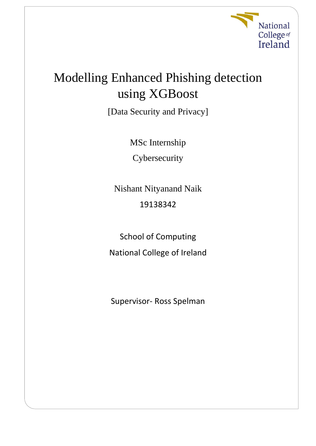

# Modelling Enhanced Phishing detection using XGBoost

[Data Security and Privacy]

MSc Internship **Cybersecurity** 

Nishant Nityanand Naik 19138342

School of Computing National College of Ireland

Supervisor- Ross Spelman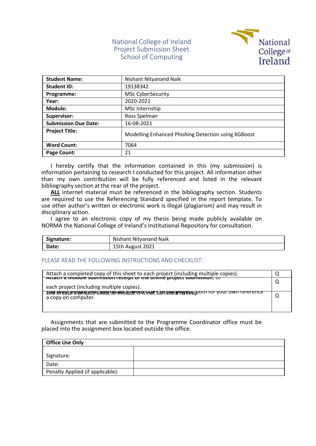## National College of Ireland Project Submission Sheet School of Computing



| <b>Student Name:</b>        | Nishant Nityanand Naik                              |  |  |
|-----------------------------|-----------------------------------------------------|--|--|
| <b>Student ID:</b>          | 19138342                                            |  |  |
| Programme:                  | MSc CyberSecurity                                   |  |  |
| Year:                       | 2020-2021                                           |  |  |
| Module:                     | MSc Internship                                      |  |  |
| Supervisor:                 | Ross Spelman                                        |  |  |
| <b>Submission Due Date:</b> | 16-08-2021                                          |  |  |
| <b>Project Title:</b>       | Modelling Enhanced Phishing Detection using XGBoost |  |  |
| <b>Word Count:</b>          | 7064                                                |  |  |
| Page Count:                 | 21                                                  |  |  |

I hereby certify that the information contained in this (my submission) is information pertaining to research I conducted for this project. All information other than my own contribution will be fully referenced and listed in the relevant bibliography section at the rear of the project.

ALL internet material must be referenced in the bibliography section. Students are required to use the Referencing Standard specified in the report template. To use other author's written or electronic work is illegal (plagiarism) and may result in disciplinary action.

I agree to an electronic copy of my thesis being made publicly available on NORMA the National College of Ireland's Institutional Repository for consultation.

| Signature: | Nishant Nityanand Naik |  |
|------------|------------------------|--|
| Date:      | 15th August 2021       |  |

## PLEASE READ THE FOLLOWING INSTRUCTIONS AND CHECKLIST:

| Attach a completed copy of this sheet to each project (including multiple copies).                                        |  |
|---------------------------------------------------------------------------------------------------------------------------|--|
| <u>Attach a Mobule subhiission receipt of the onime project submission, to</u>                                            |  |
| each project (including multiple copies).                                                                                 |  |
| <u>and invase dependence of the misture of the sufficient the production of your own reference</u><br>a copy on computer. |  |
|                                                                                                                           |  |

Assignments that are submitted to the Programme Coordinator office must be placed into the assignment box located outside the office.

| <b>Office Use Only</b>           |  |  |
|----------------------------------|--|--|
| Signature:                       |  |  |
| Date:                            |  |  |
| Penalty Applied (if applicable): |  |  |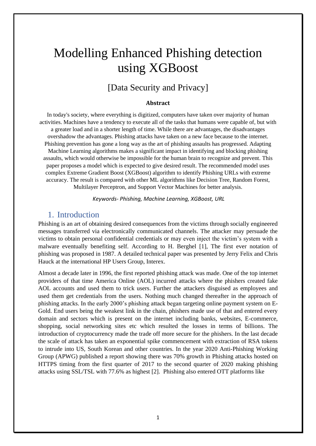# Modelling Enhanced Phishing detection using XGBoost

# [Data Security and Privacy]

### **Abstract**

In today's society, where everything is digitized, computers have taken over majority of human activities. Machines have a tendency to execute all of the tasks that humans were capable of, but with a greater load and in a shorter length of time. While there are advantages, the disadvantages overshadow the advantages. Phishing attacks have taken on a new face because to the internet. Phishing prevention has gone a long way as the art of phishing assaults has progressed. Adapting Machine Learning algorithms makes a significant impact in identifying and blocking phishing assaults, which would otherwise be impossible for the human brain to recognize and prevent. This paper proposes a model which is expected to give desired result. The recommended model uses complex Extreme Gradient Boost (XGBoost) algorithm to identify Phishing URLs with extreme accuracy. The result is compared with other ML algorithms like Decision Tree, Random Forest, Multilayer Perceptron, and Support Vector Machines for better analysis.

*Keywords- Phishing, Machine Learning, XGBoost, URL*

## 1. Introduction

Phishing is an art of obtaining desired consequences from the victims through socially engineered messages transferred via electronically communicated channels. The attacker may persuade the victims to obtain personal confidential credentials or may even inject the victim's system with a malware eventually benefiting self. According to H. Berghel [1], The first ever notation of phishing was proposed in 1987. A detailed technical paper was presented by Jerry Felix and Chris Hauck at the international HP Users Group, Interex.

Almost a decade later in 1996, the first reported phishing attack was made. One of the top internet providers of that time America Online (AOL) incurred attacks where the phishers created fake AOL accounts and used them to trick users. Further the attackers disguised as employees and used them get credentials from the users. Nothing much changed thereafter in the approach of phishing attacks. In the early 2000's phishing attack began targeting online payment system on E-Gold. End users being the weakest link in the chain, phishers made use of that and entered every domain and sectors which is present on the internet including banks, websites, E-commerce, shopping, social networking sites etc which resulted the losses in terms of billions. The introduction of cryptocurrency made the trade off more secure for the phishers. In the last decade the scale of attack has taken an exponential spike commencement with extraction of RSA tokens to intrude into US, South Korean and other countries. In the year 2020 Anti-Phishing Working Group (APWG) published a report showing there was 70% growth in Phishing attacks hosted on HTTPS timing from the first quarter of 2017 to the second quarter of 2020 making phishing attacks using SSL/TSL with 77.6% as highest [2]. Phishing also entered OTT platforms like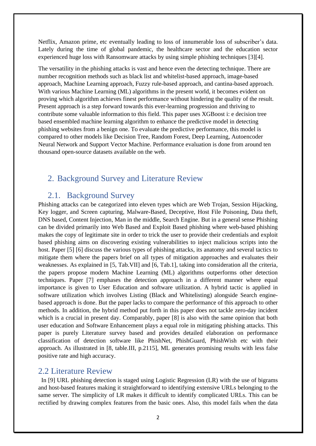Netflix, Amazon prime, etc eventually leading to loss of innumerable loss of subscriber's data. Lately during the time of global pandemic, the healthcare sector and the education sector experienced huge loss with Ransomware attacks by using simple phishing techniques [3][4].

The versatility in the phishing attacks is vast and hence even the detecting technique. There are number recognition methods such as black list and whitelist-based approach, image-based approach, Machine Learning approach, Fuzzy rule-based approach, and cantina-based approach. With various Machine Learning (ML) algorithms in the present world, it becomes evident on proving which algorithm achieves finest performance without hindering the quality of the result. Present approach is a step forward towards this ever-learning progression and thriving to contribute some valuable information to this field. This paper uses XGBoost i: e decision tree based ensembled machine learning algorithm to enhance the predictive model in detecting phishing websites from a benign one. To evaluate the predictive performance, this model is compared to other models like Decision Tree, Random Forest, Deep Learning, Autoencoder Neural Network and Support Vector Machine. Performance evaluation is done from around ten thousand open-source datasets available on the web.

# 2. Background Survey and Literature Review

# 2.1. Background Survey

Phishing attacks can be categorized into eleven types which are Web Trojan, Session Hijacking, Key logger, and Screen capturing, Malware-Based, Deceptive, Host File Poisoning, Data theft, DNS based, Content Injection, Man in the middle, Search Engine. But in a general sense Phishing can be divided primarily into Web Based and Exploit Based phishing where web-based phishing makes the copy of legitimate site in order to trick the user to provide their credentials and exploit based phishing aims on discovering existing vulnerabilities to inject malicious scripts into the host. Paper [5] [6] discuss the various types of phishing attacks, its anatomy and several tactics to mitigate them where the papers brief on all types of mitigation approaches and evaluates their weaknesses. As explained in [5, Tab.VII] and [6, Tab.1], taking into consideration all the criteria, the papers propose modern Machine Learning (ML) algorithms outperforms other detection techniques. Paper [7] emphases the detection approach in a different manner where equal importance is given to User Education and software utilization. A hybrid tactic is applied in software utilization which involves Listing (Black and Whitelisting) alongside Search enginebased approach is done. But the paper lacks to compare the performance of this approach to other methods. In addition, the hybrid method put forth in this paper does not tackle zero-day incident which is a crucial in present day. Comparably, paper [8] is also with the same opinion that both user education and Software Enhancement plays a equal role in mitigating phishing attacks. This paper is purely Literature survey based and provides detailed elaboration on performance classification of detection software like PhishNet, PhishGuard, PhishWish etc with their approach. As illustrated in [8, table.III, p.2115], ML generates promising results with less false positive rate and high accuracy.

## 2.2 Literature Review

 In [9] URL phishing detection is staged using Logistic Regression (LR) with the use of bigrams and host-based features making it straightforward to identifying extensive URLs belonging to the same server. The simplicity of LR makes it difficult to identify complicated URLs. This can be rectified by drawing complex features from the basic ones. Also, this model fails when the data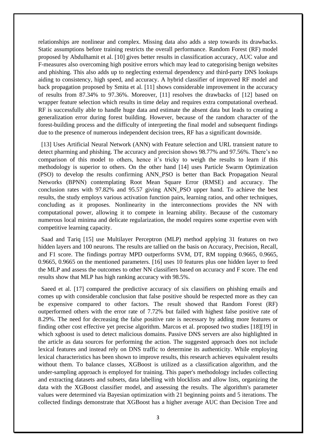relationships are nonlinear and complex. Missing data also adds a step towards its drawbacks. Static assumptions before training restricts the overall performance. Random Forest (RF) model proposed by Abdulhamit et al. [10] gives better results in classification accuracy, AUC value and F-measures also overcoming high positive errors which may lead to categorising benign websites and phishing. This also adds up to neglecting external dependency and third-party DNS lookups aiding to consistency, high speed, and accuracy. A hybrid classifier of improved RF model and back propagation proposed by Smita et al. [11] shows considerable improvement in the accuracy of results from 87.34% to 97.36%. Moreover, [11] resolves the drawbacks of [12] based on wrapper feature selection which results in time delay and requires extra computational overhead. RF is successfully able to handle huge data and estimate the absent data but leads to creating a generalization error during forest building. However, because of the random character of the forest-building process and the difficulty of interpreting the final model and subsequent findings due to the presence of numerous independent decision trees, RF has a significant downside.

 [13] Uses Artificial Neural Network (ANN) with Feature selection and URL transient nature to detect pharming and phishing. The accuracy and precision shows 98.77% and 97.56%. There's no comparison of this model to others, hence it's tricky to weigh the results to learn if this methodology is superior to others. On the other hand [14] uses Particle Swarm Optimization (PSO) to develop the results confirming ANN\_PSO is better than Back Propagation Neural Networks (BPNN) contemplating Root Mean Square Error (RMSE) and accuracy. The conclusion rates with 97.82% and 95.57 giving ANN\_PSO upper hand. To achieve the best results, the study employs various activation function pairs, learning ratios, and other techniques, concluding as it proposes. Nonlinearity in the interconnections provides the NN with computational power, allowing it to compete in learning ability. Because of the customary numerous local minima and delicate regularization, the model requires some expertise even with competitive learning capacity.

 Saad and Tariq [15] use Multilayer Perceptron (MLP) method applying 31 features on two hidden layers and 100 neurons. The results are tallied on the basis on Accuracy, Precision, Recall, and F1 score. The findings portray MPD outperforms SVM, DT, RM topping 0.9665, 0.9665, 0.9665, 0.9665 on the mentioned parameters. [16] uses 10 features plus one hidden layer to feed the MLP and assess the outcomes to other NN classifiers based on accuracy and F score. The end results show that MLP has high ranking accuracy with 98.5%.

 Saeed et al. [17] compared the predictive accuracy of six classifiers on phishing emails and comes up with considerable conclusion that false positive should be respected more as they can be expensive compared to other factors. The result showed that Random Forest (RF) outperformed others with the error rate of 7.72% but failed with highest false positive rate of 8.29%. The need for decreasing the false positive rate is necessary by adding more features or finding other cost effective yet precise algorithm. Marcos et al. proposed two studies [18][19] in which xgboost is used to detect malicious domains. Passive DNS servers are also highlighted in the article as data sources for performing the action. The suggested approach does not include lexical features and instead rely on DNS traffic to determine its authenticity. While employing lexical characteristics has been shown to improve results, this research achieves equivalent results without them. To balance classes, XGBoost is utilized as a classification algorithm, and the under-sampling approach is employed for training. This paper's methodology includes collecting and extracting datasets and subsets, data labelling with blocklists and allow lists, organizing the data with the XGBoost classifier model, and assessing the results. The algorithm's parameter values were determined via Bayesian optimization with 21 beginning points and 5 iterations. The collected findings demonstrate that XGBoost has a higher average AUC than Decision Tree and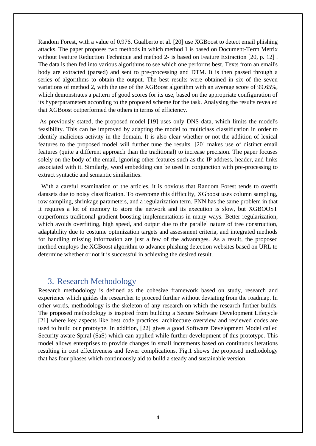Random Forest, with a value of 0.976. Gualberto et al. [20] use XGBoost to detect email phishing attacks. The paper proposes two methods in which method 1 is based on Document-Term Metrix without Feature Reduction Technique and method 2- is based on Feature Extraction [20, p. 12]. The data is then fed into various algorithms to see which one performs best. Texts from an email's body are extracted (parsed) and sent to pre-processing and DTM. It is then passed through a series of algorithms to obtain the output. The best results were obtained in six of the seven variations of method 2, with the use of the XGBoost algorithm with an average score of 99.65%, which demonstrates a pattern of good scores for its use, based on the appropriate configuration of its hyperparameters according to the proposed scheme for the task. Analysing the results revealed that XGBoost outperformed the others in terms of efficiency.

As previously stated, the proposed model [19] uses only DNS data, which limits the model's feasibility. This can be improved by adapting the model to multiclass classification in order to identify malicious activity in the domain. It is also clear whether or not the addition of lexical features to the proposed model will further tune the results. [20] makes use of distinct email features (quite a different approach than the traditional) to increase precision. The paper focuses solely on the body of the email, ignoring other features such as the IP address, header, and links associated with it. Similarly, word embedding can be used in conjunction with pre-processing to extract syntactic and semantic similarities.

 With a careful examination of the articles, it is obvious that Random Forest tends to overfit datasets due to noisy classification. To overcome this difficulty, XGboost uses column sampling, row sampling, shrinkage parameters, and a regularization term. PNN has the same problem in that it requires a lot of memory to store the network and its execution is slow, but XGBOOST outperforms traditional gradient boosting implementations in many ways. Better regularization, which avoids overfitting, high speed, and output due to the parallel nature of tree construction, adaptability due to costume optimization targets and assessment criteria, and integrated methods for handling missing information are just a few of the advantages. As a result, the proposed method employs the XGBoost algorithm to advance phishing detection websites based on URL to determine whether or not it is successful in achieving the desired result.

# 3. Research Methodology

Research methodology is defined as the cohesive framework based on study, research and experience which guides the researcher to proceed further without deviating from the roadmap. In other words, methodology is the skeleton of any research on which the research further builds. The proposed methodology is inspired from building a Secure Software Development Lifecycle [21] where key aspects like best code practices, architecture overview and reviewed codes are used to build our prototype. In addition, [22] gives a good Software Development Model called Security aware Spiral (SaS) which can applied while further development of this prototype. This model allows enterprises to provide changes in small increments based on continuous iterations resulting in cost effectiveness and fewer complications. Fig.1 shows the proposed methodology that has four phases which continuously aid to build a steady and sustainable version.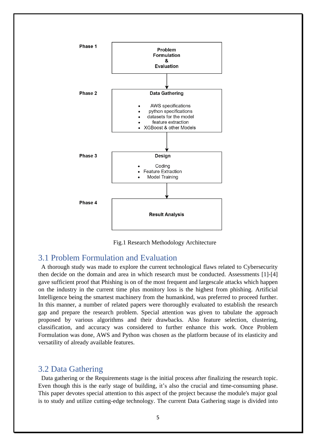

Fig.1 Research Methodology Architecture

# 3.1 Problem Formulation and Evaluation

 A thorough study was made to explore the current technological flaws related to Cybersecurity then decide on the domain and area in which research must be conducted. Assessments [1]-[4] gave sufficient proof that Phishing is on of the most frequent and largescale attacks which happen on the industry in the current time plus monitory loss is the highest from phishing. Artificial Intelligence being the smartest machinery from the humankind, was preferred to proceed further. In this manner, a number of related papers were thoroughly evaluated to establish the research gap and prepare the research problem. Special attention was given to tabulate the approach proposed by various algorithms and their drawbacks. Also feature selection, clustering, classification, and accuracy was considered to further enhance this work. Once Problem Formulation was done, AWS and Python was chosen as the platform because of its elasticity and versatility of already available features.

## 3.2 Data Gathering

 Data gathering or the Requirements stage is the initial process after finalizing the research topic. Even though this is the early stage of building, it's also the crucial and time-consuming phase. This paper devotes special attention to this aspect of the project because the module's major goal is to study and utilize cutting-edge technology. The current Data Gathering stage is divided into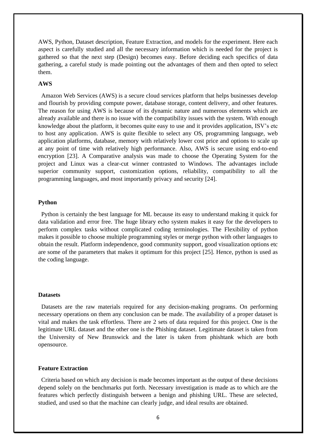AWS, Python, Dataset description, Feature Extraction, and models for the experiment. Here each aspect is carefully studied and all the necessary information which is needed for the project is gathered so that the next step (Design) becomes easy. Before deciding each specifics of data gathering, a careful study is made pointing out the advantages of them and then opted to select them.

## **AWS**

 Amazon Web Services (AWS) is a secure cloud services platform that helps businesses develop and flourish by providing compute power, database storage, content delivery, and other features. The reason for using AWS is because of its dynamic nature and numerous elements which are already available and there is no issue with the compatibility issues with the system. With enough knowledge about the platform, it becomes quite easy to use and it provides application, ISV's etc to host any application. AWS is quite flexible to select any OS, programming language, web application platforms, database, memory with relatively lower cost price and options to scale up at any point of time with relatively high performance. Also, AWS is secure using end-to-end encryption [23]. A Comparative analysis was made to choose the Operating System for the project and Linux was a clear-cut winner contrasted to Windows. The advantages include superior community support, customization options, reliability, compatibility to all the programming languages, and most importantly privacy and security [24].

#### **Python**

 Python is certainly the best language for ML because its easy to understand making it quick for data validation and error free. The huge library echo system makes it easy for the developers to perform complex tasks without complicated coding terminologies. The Flexibility of python makes it possible to choose multiple programming styles or merge python with other languages to obtain the result. Platform independence, good community support, good visualization options etc are some of the parameters that makes it optimum for this project [25]. Hence, python is used as the coding language.

#### **Datasets**

 Datasets are the raw materials required for any decision-making programs. On performing necessary operations on them any conclusion can be made. The availability of a proper dataset is vital and makes the task effortless. There are 2 sets of data required for this project. One is the legitimate URL dataset and the other one is the Phishing dataset. Legitimate dataset is taken from the University of New Brunswick and the later is taken from phishtank which are both opensource.

#### **Feature Extraction**

 Criteria based on which any decision is made becomes important as the output of these decisions depend solely on the benchmarks put forth. Necessary investigation is made as to which are the features which perfectly distinguish between a benign and phishing URL. These are selected, studied, and used so that the machine can clearly judge, and ideal results are obtained.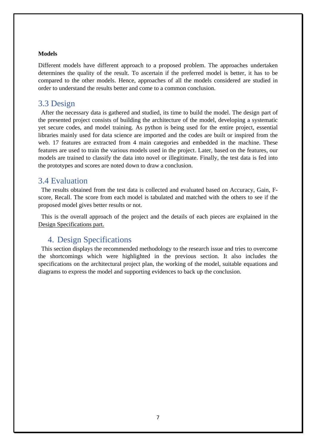#### **Models**

Different models have different approach to a proposed problem. The approaches undertaken determines the quality of the result. To ascertain if the preferred model is better, it has to be compared to the other models. Hence, approaches of all the models considered are studied in order to understand the results better and come to a common conclusion.

## 3.3 Design

 After the necessary data is gathered and studied, its time to build the model. The design part of the presented project consists of building the architecture of the model, developing a systematic yet secure codes, and model training. As python is being used for the entire project, essential libraries mainly used for data science are imported and the codes are built or inspired from the web. 17 features are extracted from 4 main categories and embedded in the machine. These features are used to train the various models used in the project. Later, based on the features, our models are trained to classify the data into novel or illegitimate. Finally, the test data is fed into the prototypes and scores are noted down to draw a conclusion.

## 3.4 Evaluation

 The results obtained from the test data is collected and evaluated based on Accuracy, Gain, Fscore, Recall. The score from each model is tabulated and matched with the others to see if the proposed model gives better results or not.

This is the overall approach of the project and the details of each pieces are explained in the Design Specifications part.

## 4. Design Specifications

 This section displays the recommended methodology to the research issue and tries to overcome the shortcomings which were highlighted in the previous section. It also includes the specifications on the architectural project plan, the working of the model, suitable equations and diagrams to express the model and supporting evidences to back up the conclusion.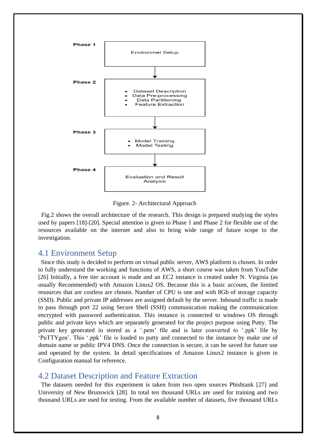

Figure. 2- Architectural Approach

 Fig.2 shows the overall architecture of the research. This design is prepared studying the styles used by papers [18]-[20]. Special attention is given to Phase 1 and Phase 2 for flexible use of the resources available on the internet and also to bring wide range of future scope to the investigation.

## 4.1 Environment Setup

 Since this study is decided to perform on virtual public server, AWS platform is chosen. In order to fully understand the working and functions of AWS, a short course was taken from YouTube [26] Initially, a free tier account is made and an EC2 instance is created under N. Virginia (as usually Recommended) with Amazon Linux2 OS. Because this is a basic account, the limited resources that are costless are chosen. Number of CPU is one and with 8Gb of storage capacity (SSD). Public and private IP addresses are assigned default by the server. Inbound traffic is made to pass through port 22 using Secure Shell (SSH) communication making the communication encrypted with password authentication. This instance is connected to windows OS through public and private keys which are separately generated for the project purpose using Putty. The private key generated in stored as a '.pem' file and is later converted to '.ppk' file by 'PuTTYgen'. This '.ppk' file is loaded to putty and connected to the instance by make use of domain name or public IPV4 DNS. Once the connection is secure, it can be saved for future use and operated by the system. In detail specifications of Amazon Linux2 instance is given in Configuration manual for reference.

## 4.2 Dataset Description and Feature Extraction

 The datasets needed for this experiment is taken from two open sources Phishtank [27] and University of New Brunswick [28]. In total ten thousand URLs are used for training and two thousand URLs are used for testing. From the available number of datasets, five thousand URLs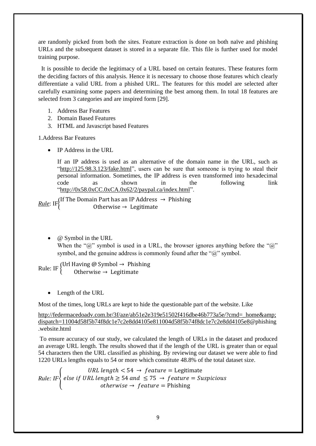are randomly picked from both the sites. Feature extraction is done on both naïve and phishing URLs and the subsequent dataset is stored in a separate file. This file is further used for model training purpose.

 It is possible to decide the legitimacy of a URL based on certain features. These features form the deciding factors of this analysis. Hence it is necessary to choose those features which clearly differentiate a valid URL from a phished URL. The features for this model are selected after carefully examining some papers and determining the best among them. In total 18 features are selected from 3 categories and are inspired form [29].

- 1. Address Bar Features
- 2. Domain Based Features
- 3. HTML and Javascript based Features

1.Address Bar Features

• IP Address in the URL

```
If an IP address is used as an alternative of the domain name in the URL, such as 
"http://125.98.3.123/fake.html", users can be sure that someone is trying to steal their 
personal information. Sometimes, the IP address is even transformed into hexadecimal 
code as shown in the following link
"http://0x58.0xCC.0xCA.0x62/2/paypal.ca/index.html".
```
*Rule*: IF{ If The Domain Part has an IP Address  $\rightarrow$  Phishing Otherwise  $\rightarrow$  Legitimate

• @ Symbol in the URL

When the " $\hat{w}$ " symbol is used in a URL, the browser ignores anything before the " $\hat{w}$ " symbol, and the genuine address is commonly found after the " $@$ " symbol.

Rule: IF  $\{Ur1$  Having @ Symbol  $\rightarrow$  Phishing Otherwise  $\rightarrow$  Legitimate

• Length of the URL

Most of the times, long URLs are kept to hide the questionable part of the website. Like

[http://federmacedoadv.com.br/3f/aze/ab51e2e319e51502f416dbe46b773a5e/?cmd=\\_home&](http://federmacedoadv.com.br/3f/aze/ab51e2e319e51502f416dbe46b773a5e/?cmd=_home&dispatch=11004d58f5b74f8dc1e7c2e8dd4105e811004d58f5b74f8dc1e7c2e8dd4105e8) [dispatch=11004d58f5b74f8dc1e7c2e8dd4105e811004d58f5b74f8dc1e7c2e8dd4105e8@](http://federmacedoadv.com.br/3f/aze/ab51e2e319e51502f416dbe46b773a5e/?cmd=_home&dispatch=11004d58f5b74f8dc1e7c2e8dd4105e811004d58f5b74f8dc1e7c2e8dd4105e8)phishing .website.html

To ensure accuracy of our study, we calculated the length of URLs in the dataset and produced an average URL length. The results showed that if the length of the URL is greater than or equal 54 characters then the URL classified as phishing. By reviewing our dataset we were able to find 1220 URLs lengths equals to 54 or more which constitute 48.8% of the total dataset size.

Rule: IF $\{$  else if URL length  $\geq$  54 and  $\,\leq$  75  $\,\rightarrow\,$  feature  $=$  Suspicious URL length  $< 54$   $\rightarrow$  feature = Legitimate *otherwise*  $\rightarrow$  *feature* = Phishing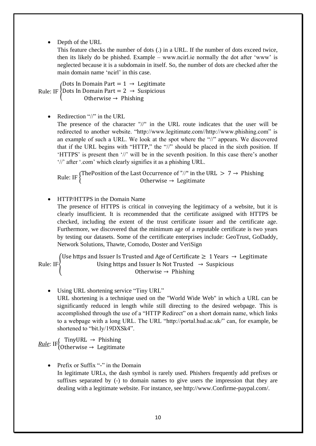• Depth of the URL

This feature checks the number of dots (.) in a URL. If the number of dots exceed twice, then its likely do be phished. Example – www.ncirl.ie normally the dot after 'www' is neglected because it is a subdomain in itself. So, the number of dots are checked after the main domain name 'ncirl' in this case.

Rule: IF  $\{$  Dots In Domain Part = 2  $\rightarrow$  Suspicious  $\Lambda$ Dots In Domain Part = 1  $\rightarrow$  Legitimate Otherwise  $\rightarrow$  Phishing

• Redirection "//" in the URL

The presence of the character "//" in the URL route indicates that the user will be redirected to another website. "http://www.legitimate.com//http://www.phishing.com" is an example of such a URL. We look at the spot where the "//" appears. We discovered that if the URL begins with "HTTP," the "//" should be placed in the sixth position. If 'HTTPS' is present then '//' will be in the seventh position. In this case there's another '//' after '.com' which clearly signifies it as a phishing URL.

Rule: IF  $\left\{\n\begin{array}{l}\n\text{ThePosition of the Last Occurrence of }\n\end{array}\n\right.\n\left\{\n\begin{array}{l}\n\text{or} \\
\text{I} \\
\text{I} \\
\text{I} \\
\text{I} \\
\text{I} \\
\text{I} \\
\text{I} \\
\text{I} \\
\text{I} \\
\text{I} \\
\text{I} \\
\text{I} \\
\text{I} \\
\text{I} \\
\text{I} \\
\text{I} \\
\text{I} \\
\text{I} \\
\text{I} \\
\text{I} \\
\text{I} \\
\text{I} \\
\text{I} \\
\text{I} \\
\text{I} \\
\text{I} \\$ Otherwise  $\rightarrow$  Legitimate

• HTTP/HTTPS in the Domain Name

The presence of HTTPS is critical in conveying the legitimacy of a website, but it is clearly insufficient. It is recommended that the certificate assigned with HTTPS be checked, including the extent of the trust certificate issuer and the certificate age. Furthermore, we discovered that the minimum age of a reputable certificate is two years by testing our datasets. Some of the certificate enterprises include: GeoTrust, GoDaddy, Network Solutions, Thawte, Comodo, Doster and VeriSign

Rule: IF{ Use https and Issuer Is Trusted and Age of Certificate  $\geq 1$  Years  $\rightarrow$  Legitimate Using https and Issuer Is Not Trusted  $\rightarrow$  Suspicious Otherwise  $\rightarrow$  Phishing

• Using URL shortening service "Tiny URL" URL shortening is a technique used on the "World Wide Web" in which a URL can be significantly reduced in length while still directing to the desired webpage. This is accomplished through the use of a "HTTP Redirect" on a short domain name, which links to a webpage with a long URL. The URL "http://portal.hud.ac.uk/" can, for example, be shortened to "bit.ly/19DXSk4".

 $Rule: IF$  TinyURL  $\rightarrow$  Phishing Otherwise  $\rightarrow$  Legitimate

> • Prefix or Suffix "-" in the Domain In legitimate URLs, the dash symbol is rarely used. Phishers frequently add prefixes or suffixes separated by (-) to domain names to give users the impression that they are dealing with a legitimate website. For instance, see http://www.Confirme-paypal.com/.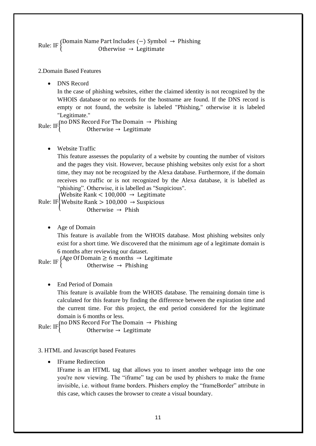Rule: IF {Domain Name Part Includes (−) Symbol  $\rightarrow$  Phishing<br>Othorwise > Legitimate Otherwise  $\rightarrow$  Legitimate

## 2.Domain Based Features

• DNS Record

In the case of phishing websites, either the claimed identity is not recognized by the WHOIS database or no records for the hostname are found. If the DNS record is empty or not found, the website is labeled "Phishing," otherwise it is labeled "Legitimate."

Rule: IF $\begin{array}{c} \text{[no DNS Record For The Domain } \rightarrow \text{ Phi} \\ \text{Otherwise} \rightarrow \text{I} \text{ or } \text{I} \text{ is } \end{array}$ 

Otherwise  $\rightarrow$  Legitimate

• Website Traffic

This feature assesses the popularity of a website by counting the number of visitors and the pages they visit. However, because phishing websites only exist for a short time, they may not be recognized by the Alexa database. Furthermore, if the domain receives no traffic or is not recognized by the Alexa database, it is labelled as "phishing". Otherwise, it is labelled as "Suspicious".

Rule: IF} Website Rank > 100,000  $\rightarrow$  Suspicious (Website Rank  $<$  100,000  $\rightarrow$  Legitimate Otherwise  $\rightarrow$  Phish

• Age of Domain

This feature is available from the WHOIS database. Most phishing websites only exist for a short time. We discovered that the minimum age of a legitimate domain is 6 months after reviewing our dataset.

Rule: IF  $\begin{cases} \text{Age Of Domain} \geq 6 \text{ months } \rightarrow \text{ Legitimate} \\ \text{Otherwise} \rightarrow \text{Phibling} \end{cases}$ Otherwise  $\rightarrow$  Phishing

• End Period of Domain

This feature is available from the WHOIS database. The remaining domain time is calculated for this feature by finding the difference between the expiration time and the current time. For this project, the end period considered for the legitimate domain is 6 months or less.

Rule: IF $\begin{array}{c} \text{[no DNS Record For The Domain } \rightarrow \text{ Phi} \\ \text{Otherwise} \rightarrow \text{I} \text{ or } \text{I} \text{ is } \end{array}$ Otherwise  $\rightarrow$  Legitimate

## 3. HTML and Javascript based Features

## • IFrame Redirection

IFrame is an HTML tag that allows you to insert another webpage into the one you're now viewing. The "iframe" tag can be used by phishers to make the frame invisible, i.e. without frame borders. Phishers employ the "frameBorder" attribute in this case, which causes the browser to create a visual boundary.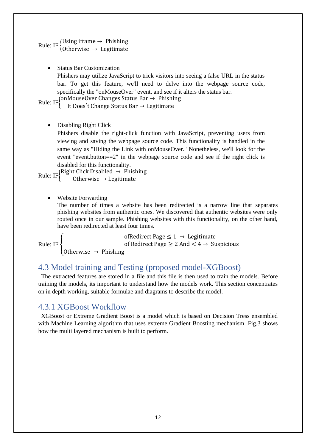## Rule: IF  $\left\{\begin{array}{l}\text{Using iframe} \rightarrow \text{Philining} \\ \text{Otherwise} \rightarrow \text{I}_{\text{scitimate}}\end{array}\right\}$ Otherwise  $\rightarrow$  Legitimate

• Status Bar Customization

Phishers may utilize JavaScript to trick visitors into seeing a false URL in the status bar. To get this feature, we'll need to delve into the webpage source code, specifically the "onMouseOver" event, and see if it alters the status bar.

Rule: IF{ $\{onMouseOver Changes}$  Status Bar  $\rightarrow$  Phishing<br>Rule: IF{ $\{the Does't Change String Bar \rightarrow Isgifimata\}$ It Does′t Change Status Bar → Legitimate

• Disabling Right Click

Phishers disable the right-click function with JavaScript, preventing users from viewing and saving the webpage source code. This functionality is handled in the same way as "Hiding the Link with onMouseOver." Nonetheless, we'll look for the event "event.button==2" in the webpage source code and see if the right click is disabled for this functionality.

Rule: IF $\{\begin{array}{c} \text{Right Click Disabeled} \rightarrow \text{Philbing} \\ \text{Otherwise} \rightarrow \text{I estimates} \end{array} \}$ Otherwise  $\rightarrow$  Legitimate

• Website Forwarding

The number of times a website has been redirected is a narrow line that separates phishing websites from authentic ones. We discovered that authentic websites were only routed once in our sample. Phishing websites with this functionality, on the other hand, have been redirected at least four times.

Rule: IF { ofRedirect Page  $\leq 1 \rightarrow$  Legitimate of Redirect Page  $\geq 2$  And  $\lt 4 \rightarrow$  Suspicious Otherwise  $\rightarrow$  Phishing

# 4.3 Model training and Testing (proposed model-XGBoost)

 The extracted features are stored in a file and this file is then used to train the models. Before training the models, its important to understand how the models work. This section concentrates on in depth working, suitable formulae and diagrams to describe the model.

## 4.3.1 XGBoost Workflow

 XGBoost or Extreme Gradient Boost is a model which is based on Decision Tress ensembled with Machine Learning algorithm that uses extreme Gradient Boosting mechanism. Fig.3 shows how the multi layered mechanism is built to perform.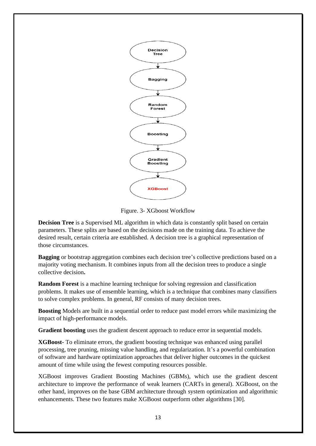

Figure. 3- XGboost Workflow

**Decision Tree** is a Supervised ML algorithm in which data is constantly split based on certain parameters. These splits are based on the decisions made on the training data. To achieve the desired result, certain criteria are established. A decision tree is a graphical representation of those circumstances.

**Bagging** or bootstrap aggregation combines each decision tree's collective predictions based on a majority voting mechanism. It combines inputs from all the decision trees to produce a single collective decision**.**

**Random Forest** is a machine learning technique for solving regression and classification problems. It makes use of ensemble learning, which is a technique that combines many classifiers to solve complex problems. In general, RF consists of many decision trees.

**Boosting** Models are built in a sequential order to reduce past model errors while maximizing the impact of high-performance models.

**Gradient boosting** uses the gradient descent approach to reduce error in sequential models.

**XGBoost-** To eliminate errors, the gradient boosting technique was enhanced using parallel processing, tree pruning, missing value handling, and regularization. It's a powerful combination of software and hardware optimization approaches that deliver higher outcomes in the quickest amount of time while using the fewest computing resources possible.

XGBoost improves Gradient Boosting Machines (GBMs), which use the gradient descent architecture to improve the performance of weak learners (CARTs in general). XGBoost, on the other hand, improves on the base GBM architecture through system optimization and algorithmic enhancements. These two features make XGBoost outperform other algorithms [30].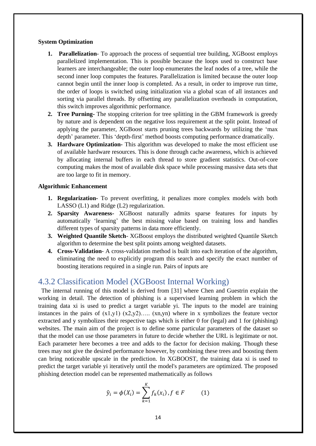#### **System Optimization**

- **1. Parallelization** To approach the process of sequential tree building, XGBoost employs parallelized implementation. This is possible because the loops used to construct base learners are interchangeable; the outer loop enumerates the leaf nodes of a tree, while the second inner loop computes the features. Parallelization is limited because the outer loop cannot begin until the inner loop is completed. As a result, in order to improve run time, the order of loops is switched using initialization via a global scan of all instances and sorting via parallel threads. By offsetting any parallelization overheads in computation, this switch improves algorithmic performance.
- **2. Tree Purning-** The stopping criterion for tree splitting in the GBM framework is greedy by nature and is dependent on the negative loss requirement at the split point. Instead of applying the parameter, XGBoost starts pruning trees backwards by utilizing the 'max depth' parameter. This 'depth-first' method boosts computing performance dramatically.
- **3. Hardware Optimization-** This algorithm was developed to make the most efficient use of available hardware resources. This is done through cache awareness, which is achieved by allocating internal buffers in each thread to store gradient statistics. Out-of-core computing makes the most of available disk space while processing massive data sets that are too large to fit in memory.

### **Algorithmic Enhancement**

- **1. Regularization-** To prevent overfitting, it penalizes more complex models with both LASSO (L1) and Ridge (L2) regularization.
- **2. Sparsity Awareness-** XGBoost naturally admits sparse features for inputs by automatically 'learning' the best missing value based on training loss and handles different types of sparsity patterns in data more efficiently.
- **3. Weighted Quantile Sketch** XGBoost employs the distributed weighted Quantile Sketch algorithm to determine the best split points among weighted datasets.
- **4. Cross-Validation** A cross-validation method is built into each iteration of the algorithm, eliminating the need to explicitly program this search and specify the exact number of boosting iterations required in a single run. Pairs of inputs are

# 4.3.2 Classification Model (XGBoost Internal Working)

 The internal running of this model is derived from [31] where Chen and Guestrin explain the working in detail. The detection of phishing is a supervised learning problem in which the training data xi is used to predict a target variable yi. The inputs to the model are training instances in the pairs of  $(x1,y1)$   $(x2,y2)$ …..  $(xn,yn)$  where in x symbolizes the feature vector extracted and y symbolizes their respective tags which is either 0 for (legal) and 1 for (phishing) websites. The main aim of the project is to define some particular parameters of the dataset so that the model can use those parameters in future to decide whether the URL is legitimate or not. Each parameter here becomes a tree and adds to the factor for decision making. Though these trees may not give the desired performance however, by combining these trees and boosting them can bring noticeable upscale in the prediction. In XGBOOST, the training data xi is used to predict the target variable yi iteratively until the model's parameters are optimized. The proposed phishing detection model can be represented mathematically as follows

$$
\hat{y}_i = \phi(X_i) = \sum_{k=1}^{K} f_k(x_i), f \in F
$$
 (1)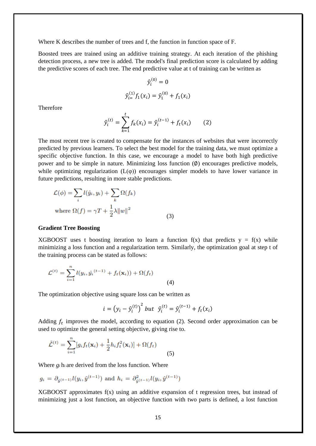Where K describes the number of trees and f, the function in function space of F.

Boosted trees are trained using an additive training strategy. At each iteration of the phishing detection process, a new tree is added. The model's final prediction score is calculated by adding the predictive scores of each tree. The end predictive value at t of training can be written as

$$
\hat{y}_i^{(0)} = 0
$$
  

$$
\hat{y}_{i=}^{(1)} f_1(x_i) = \hat{y}_1^{(0)} + f_1(x_i)
$$

Therefore

$$
\hat{y}_i^{(t)} = \sum_{k=1}^t f_k(x_i) = \hat{y}_i^{(t-1)} + f_t(x_i)
$$
 (2)

The most recent tree is created to compensate for the instances of websites that were incorrectly predicted by previous learners. To select the best model for the training data, we must optimize a specific objective function. In this case, we encourage a model to have both high predictive power and to be simple in nature. Minimizing loss function  $(\emptyset)$  encourages predictive models, while optimizing regularization  $(L(\varphi))$  encourages simpler models to have lower variance in future predictions, resulting in more stable predictions.

$$
\mathcal{L}(\phi) = \sum_{i} l(\hat{y}_i, y_i) + \sum_{k} \Omega(f_k)
$$
  
where  $\Omega(f) = \gamma T + \frac{1}{2}\lambda ||w||^2$  (3)

#### **Gradient Tree Boosting**

XGBOOST uses t boosting iteration to learn a function  $f(x)$  that predicts  $y = f(x)$  while minimizing a loss function and a regularization term. Similarly, the optimization goal at step t of the training process can be stated as follows:

$$
\mathcal{L}^{(t)} = \sum_{i=1}^{n} l(y_i, \hat{y_i}^{(t-1)} + f_t(\mathbf{x}_i)) + \Omega(f_t)
$$
\n(4)

The optimization objective using square loss can be written as

$$
i = (y_i - \hat{y}_i^{(t)})^2 \; but \; \; \hat{y}_i^{(t)} = \hat{y}_i^{(t-1)} + f_t(x_i)
$$

Adding  $f_t$  improves the model, according to equation (2). Second order approximation can be used to optimize the general setting objective, giving rise to.

$$
\tilde{\mathcal{L}}^{(t)} = \sum_{i=1}^{n} [g_i f_t(\mathbf{x}_i) + \frac{1}{2} h_i f_t^2(\mathbf{x}_i)] + \Omega(f_t)
$$
\n(5)

Where  $g_i$  h<sub>i</sub> are derived from the loss function. Where

$$
g_i = \partial_{\hat{y}^{(t-1)}} l(y_i, \hat{y}^{(t-1)})
$$
 and  $h_i = \partial_{\hat{y}^{(t-1)}}^2 l(y_i, \hat{y}^{(t-1)})$ 

XGBOOST approximates  $f(x)$  using an additive expansion of t regression trees, but instead of minimizing just a lost function, an objective function with two parts is defined, a lost function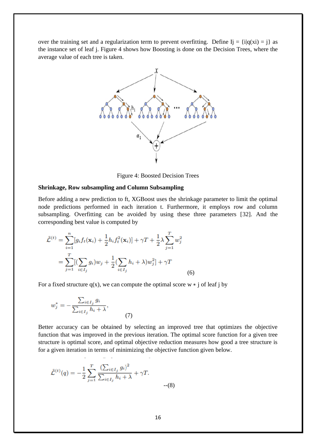over the training set and a regularization term to prevent overfitting. Define  $Ij = \{i | q(xi) = j\}$  as the instance set of leaf j. Figure 4 shows how Boosting is done on the Decision Trees, where the average value of each tree is taken.



Figure 4: Boosted Decision Trees

#### **Shrinkage, Row subsampling and Column Subsampling**

Before adding a new prediction to ft, XGBoost uses the shrinkage parameter to limit the optimal node predictions performed in each iteration t. Furthermore, it employs row and column subsampling. Overfitting can be avoided by using these three parameters [32]. And the corresponding best value is computed by

$$
\tilde{\mathcal{L}}^{(t)} = \sum_{i=1}^{n} [g_i f_t(\mathbf{x}_i) + \frac{1}{2} h_i f_t^2(\mathbf{x}_i)] + \gamma T + \frac{1}{2} \lambda \sum_{j=1}^{T} w_j^2
$$
  
= 
$$
\sum_{j=1}^{T} [(\sum_{i \in I_j} g_i) w_j + \frac{1}{2} (\sum_{i \in I_j} h_i + \lambda) w_j^2] + \gamma T
$$
 (6)

For a fixed structure  $q(x)$ , we can compute the optimal score w  $*$  j of leaf j by

$$
w_j^* = -\frac{\sum_{i \in I_j} g_i}{\sum_{i \in I_j} h_i + \lambda},\tag{7}
$$

Better accuracy can be obtained by selecting an improved tree that optimizes the objective function that was improved in the previous iteration. The optimal score function for a given tree structure is optimal score, and optimal objective reduction measures how good a tree structure is for a given iteration in terms of minimizing the objective function given below.

$$
\tilde{\mathcal{L}}^{(t)}(q) = -\frac{1}{2} \sum_{j=1}^{T} \frac{\left(\sum_{i \in I_j} g_i\right)^2}{\sum_{i \in I_j} h_i + \lambda} + \gamma T.
$$
\n(8)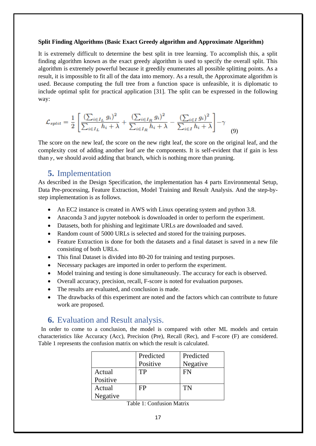#### **Split Finding Algorithms (Basic Exact Greedy algorithm and Approximate Algorithm)**

It is extremely difficult to determine the best split in tree learning. To accomplish this, a split finding algorithm known as the exact greedy algorithm is used to specify the overall split. This algorithm is extremely powerful because it greedily enumerates all possible splitting points. As a result, it is impossible to fit all of the data into memory. As a result, the Approximate algorithm is used. Because computing the full tree from a function space is unfeasible, it is diplomatic to include optimal split for practical application [31]. The split can be expressed in the following way:

$$
\mathcal{L}_{split} = \frac{1}{2} \left[ \frac{\left(\sum_{i \in I_L} g_i\right)^2}{\sum_{i \in I_L} h_i + \lambda} + \frac{\left(\sum_{i \in I_R} g_i\right)^2}{\sum_{i \in I_R} h_i + \lambda} - \frac{\left(\sum_{i \in I} g_i\right)^2}{\sum_{i \in I} h_i + \lambda} \right] - \gamma \tag{9}
$$

The score on the new leaf, the score on the new right leaf, the score on the original leaf, and the complexity cost of adding another leaf are the components. It is self-evident that if gain is less than  $\gamma$ , we should avoid adding that branch, which is nothing more than pruning.

## **5.** Implementation

As described in the Design Specification, the implementation has 4 parts Environmental Setup, Data Pre-processing, Feature Extraction, Model Training and Result Analysis. And the step-bystep implementation is as follows.

- An EC2 instance is created in AWS with Linux operating system and python 3.8.
- Anaconda 3 and jupyter notebook is downloaded in order to perform the experiment.
- Datasets, both for phishing and legitimate URLs are downloaded and saved.
- Random count of 5000 URLs is selected and stored for the training purposes.
- Feature Extraction is done for both the datasets and a final dataset is saved in a new file consisting of both URLs.
- This final Dataset is divided into 80-20 for training and testing purposes.
- Necessary packages are imported in order to perform the experiment.
- Model training and testing is done simultaneously. The accuracy for each is observed.
- Overall accuracy, precision, recall, F-score is noted for evaluation purposes.
- The results are evaluated, and conclusion is made.
- The drawbacks of this experiment are noted and the factors which can contribute to future work are proposed.

# **6.** Evaluation and Result analysis.

In order to come to a conclusion, the model is compared with other ML models and certain characteristics like Accuracy (Acc), Precision (Pre), Recall (Rec), and F-score (F) are considered. Table 1 represents the confusion matrix on which the result is calculated.

|          | Predicted | Predicted |  |
|----------|-----------|-----------|--|
|          | Positive  | Negative  |  |
| Actual   | TP        | HN        |  |
| Positive |           |           |  |
| Actual   | FΡ        | TN        |  |
| Negative |           |           |  |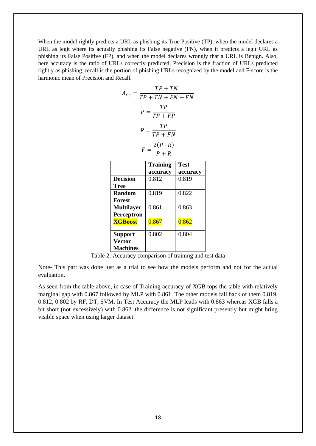When the model rightly predicts a URL as phishing its True Positive (TP), when the model declares a URL as legit where its actually phishing its False negative (FN), when it predicts a legit URL as phishing its False Positive (FP), and when the model declares wrongly that a URL is Benign. Also, here accuracy is the ratio of URLs correctly predicted, Precision is the fraction of URLs predicted rightly as phishing, recall is the portion of phishing URLs recognized by the model and F-score is the harmonic mean of Precision and Recall.

$$
A_{CC} = \frac{TP + TN}{TP + TN + FN + FN}
$$

$$
P = \frac{TP}{TP + FP}
$$

$$
R = \frac{TP}{TP + FN}
$$

$$
F = \frac{2(P \cdot R)}{P + R}
$$

|                   | <b>Training</b> | <b>Test</b> |
|-------------------|-----------------|-------------|
|                   | accuracy        | accuracy    |
| <b>Decision</b>   | 0.812           | 0.819       |
| <b>Tree</b>       |                 |             |
| Random            | 0.819           | 0.822       |
| <b>Forest</b>     |                 |             |
| <b>Multilayer</b> | 0.861           | 0.863       |
| Perceptron        |                 |             |
| <b>XGBoost</b>    | 0.867           | 0.862       |
|                   |                 |             |
| <b>Support</b>    | 0.802           | 0.804       |
| <b>Vector</b>     |                 |             |
| <b>Machines</b>   |                 |             |

Table 2: Accuracy comparison of training and test data

Note- This part was done just as a trial to see how the models perform and not for the actual evaluation.

As seen from the table above, in case of Training accuracy of XGB tops the table with relatively marginal gap with 0.867 followed by MLP with 0.861. The other models fall back of them 0.819, 0.812, 0.802 by RF, DT, SVM. In Test Accuracy the MLP leads with 0.863 whereas XGB falls a bit short (not excessively) with 0.862. the difference is not significant presently but might bring visible space when using larger dataset.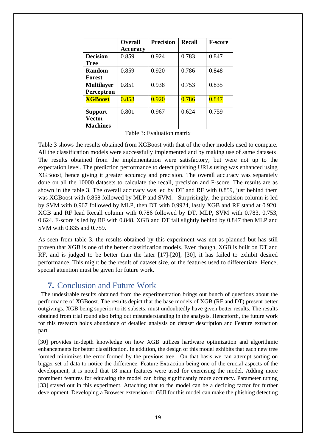|                   | <b>Overall</b>  | <b>Precision</b> | <b>Recall</b> | <b>F-score</b> |
|-------------------|-----------------|------------------|---------------|----------------|
|                   | <b>Accuracy</b> |                  |               |                |
| <b>Decision</b>   | 0.859           | 0.924            | 0.783         | 0.847          |
| <b>Tree</b>       |                 |                  |               |                |
| Random            | 0.859           | 0.920            | 0.786         | 0.848          |
| Forest            |                 |                  |               |                |
| <b>Multilayer</b> | 0.851           | 0.938            | 0.753         | 0.835          |
| Perceptron        |                 |                  |               |                |
| <b>XGBoost</b>    | 0.858           | 0.920            | 0.786         | 0.847          |
| <b>Support</b>    | 0.801           | 0.967            | 0.624         | 0.759          |
| <b>Vector</b>     |                 |                  |               |                |
| <b>Machines</b>   |                 |                  |               |                |

Table 3: Evaluation matrix

Table 3 shows the results obtained from XGBoost with that of the other models used to compare. All the classification models were successfully implemented and by making use of same datasets. The results obtained from the implementation were satisfactory, but were not up to the expectation level. The prediction performance to detect phishing URLs using was enhanced using XGBoost, hence giving it greater accuracy and precision. The overall accuracy was separately done on all the 10000 datasets to calculate the recall, precision and F-score. The results are as shown in the table 3. The overall accuracy was led by DT and RF with 0.859, just behind them was XGBoost with 0.858 followed by MLP and SVM. Surprisingly, the precision column is led by SVM with 0.967 followed by MLP, then DT with 0.9924, lastly XGB and RF stand at 0.920. XGB and RF lead Recall column with 0.786 followed by DT, MLP, SVM with 0.783, 0.753, 0.624. F-score is led by RF with 0.848, XGB and DT fall slightly behind by 0.847 then MLP and SVM with 0.835 and 0.759.

As seen from table 3, the results obtained by this experiment was not as planned but has still proven that XGB is one of the better classification models. Even though, XGB is built on DT and RF, and is judged to be better than the later [17]-[20], [30], it has failed to exhibit desired performance. This might be the result of dataset size, or the features used to differentiate. Hence, special attention must be given for future work.

# **7.** Conclusion and Future Work

 The undesirable results obtained from the experimentation brings out bunch of questions about the performance of XGBoost. The results depict that the base models of XGB (RF and DT) present better outgivings. XGB being superior to its subsets, must undoubtedly have given better results. The results obtained from trial round also bring out misunderstanding in the analysis. Henceforth, the future work for this research holds abundance of detailed analysis on dataset description and Feature extraction part.

[30] provides in-depth knowledge on how XGB utilizes hardware optimization and algorithmic enhancements for better classification. In addition, the design of this model exhibits that each new tree formed minimizes the error formed by the previous tree. On that basis we can attempt sorting on bigger set of data to notice the difference. Feature Extraction being one of the crucial aspects of the development, it is noted that 18 main features were used for exercising the model. Adding more prominent features for educating the model can bring significantly more accuracy. Parameter tuning [33] stayed out in this experiment. Attaching that to the model can be a deciding factor for further development. Developing a Browser extension or GUI for this model can make the phishing detecting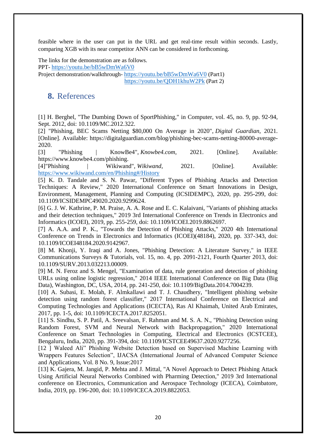feasible where in the user can put in the URL and get real-time result within seconds. Lastly, comparing XGB with its near competitor ANN can be considered in forthcoming.

The links for the demonstration are as follows.

PPT- <https://youtu.be/bB5wDmWa6V0>

Project demonstration/walkthrough- <https://youtu.be/bB5wDmWa6V0> (Part1)

<https://youtu.be/QDH1khuW2Pk> (Part 2)

# **8.** References

[1] H. Berghel, "The Dumbing Down of SportPhishing," in Computer, vol. 45, no. 9, pp. 92-94, Sept. 2012, doi: 10.1109/MC.2012.322.

[2] "Phishing, BEC Scams Netting \$80,000 On Average in 2020", *Digital Guardian*, 2021. [Online]. Available: https://digitalguardian.com/blog/phishing-bec-scams-netting-80000-average-2020.

[3] "Phishing | KnowBe4", *Knowbe4.com*, 2021. [Online]. Available: https://www.knowbe4.com/phishing.

[4]"Phishing | Wikiwand", *Wikiwand*, 2021. [Online]. Available: <https://www.wikiwand.com/en/Phishing#/History>

[5] K. D. Tandale and S. N. Pawar, "Different Types of Phishing Attacks and Detection Techniques: A Review," 2020 International Conference on Smart Innovations in Design, Environment, Management, Planning and Computing (ICSIDEMPC), 2020, pp. 295-299, doi: 10.1109/ICSIDEMPC49020.2020.9299624.

[6] G. J. W. Kathrine, P. M. Praise, A. A. Rose and E. C. Kalaivani, "Variants of phishing attacks and their detection techniques," 2019 3rd International Conference on Trends in Electronics and Informatics (ICOEI), 2019, pp. 255-259, doi: 10.1109/ICOEI.2019.8862697.

[7] A. A.A. and P. K., "Towards the Detection of Phishing Attacks," 2020 4th International Conference on Trends in Electronics and Informatics (ICOEI)(48184), 2020, pp. 337-343, doi: 10.1109/ICOEI48184.2020.9142967.

[8] M. Khonji, Y. Iraqi and A. Jones, "Phishing Detection: A Literature Survey," in IEEE Communications Surveys & Tutorials, vol. 15, no. 4, pp. 2091-2121, Fourth Quarter 2013, doi: 10.1109/SURV.2013.032213.00009.

[9] M. N. Feroz and S. Mengel, "Examination of data, rule generation and detection of phishing URLs using online logistic regression," 2014 IEEE International Conference on Big Data (Big Data), Washington, DC, USA, 2014, pp. 241-250, doi: 10.1109/BigData.2014.7004239.

[10] A. Subasi, E. Molah, F. Almkallawi and T. J. Chaudhery, "Intelligent phishing website detection using random forest classifier," 2017 International Conference on Electrical and Computing Technologies and Applications (ICECTA), Ras Al Khaimah, United Arab Emirates, 2017, pp. 1-5, doi: 10.1109/ICECTA.2017.8252051.

[11] S. Sindhu, S. P. Patil, A. Sreevalsan, F. Rahman and M. S. A. N., "Phishing Detection using Random Forest, SVM and Neural Network with Backpropagation," 2020 International Conference on Smart Technologies in Computing, Electrical and Electronics (ICSTCEE), Bengaluru, India, 2020, pp. 391-394, doi: 10.1109/ICSTCEE49637.2020.9277256.

[12 ] Waleed Ali" Phishing Website Detection based on Supervised Machine Learning with Wrappers Features Selection", IJACSA (International Journal of Advanced Computer Science and Applications, Vol. 8 No. 9, Issue:2017

[13] K. Gajera, M. Jangid, P. Mehta and J. Mittal, "A Novel Approach to Detect Phishing Attack Using Artificial Neural Networks Combined with Pharming Detection," 2019 3rd International conference on Electronics, Communication and Aerospace Technology (ICECA), Coimbatore, India, 2019, pp. 196-200, doi: 10.1109/ICECA.2019.8822053.